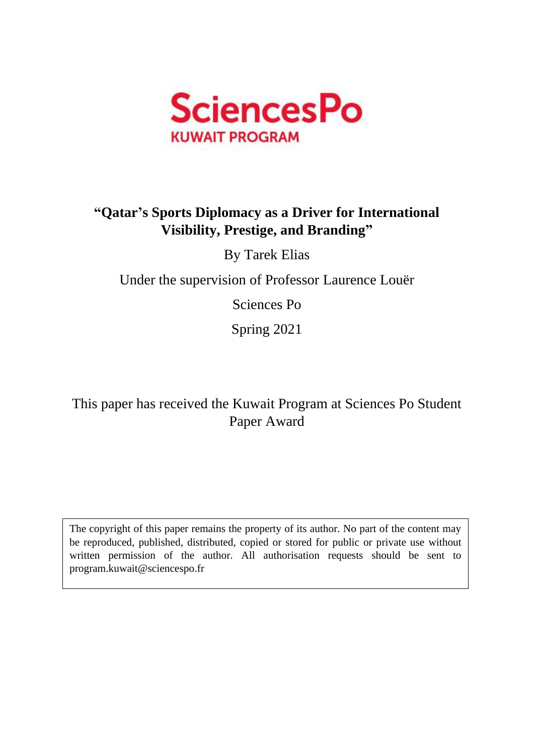

# **"Qatar's Sports Diplomacy as a Driver for International Visibility, Prestige, and Branding"**

By Tarek Elias

Under the supervision of Professor Laurence Louër

Sciences Po

Spring 2021

This paper has received the Kuwait Program at Sciences Po Student Paper Award

The copyright of this paper remains the property of its author. No part of the content may be reproduced, published, distributed, copied or stored for public or private use without written permission of the author. All authorisation requests should be sent to program.kuwait@sciencespo.fr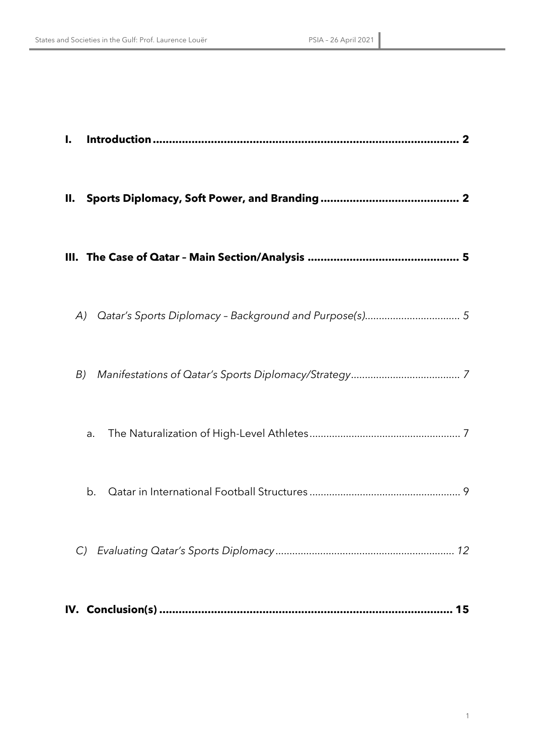| I.            |    |
|---------------|----|
| П.            |    |
|               |    |
| A)            |    |
| B)            |    |
| a.            |    |
| b.            |    |
| $\mathcal{C}$ |    |
|               | 15 |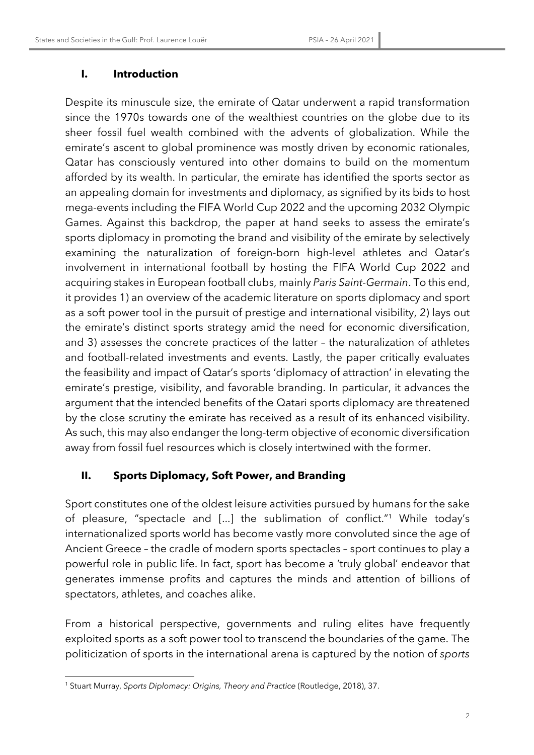#### **I. Introduction**

Despite its minuscule size, the emirate of Qatar underwent a rapid transformation since the 1970s towards one of the wealthiest countries on the globe due to its sheer fossil fuel wealth combined with the advents of globalization. While the emirate's ascent to global prominence was mostly driven by economic rationales, Qatar has consciously ventured into other domains to build on the momentum afforded by its wealth. In particular, the emirate has identified the sports sector as an appealing domain for investments and diplomacy, as signified by its bids to host mega-events including the FIFA World Cup 2022 and the upcoming 2032 Olympic Games. Against this backdrop, the paper at hand seeks to assess the emirate's sports diplomacy in promoting the brand and visibility of the emirate by selectively examining the naturalization of foreign-born high-level athletes and Qatar's involvement in international football by hosting the FIFA World Cup 2022 and acquiring stakes in European football clubs, mainly *Paris Saint-Germain*. To this end, it provides 1) an overview of the academic literature on sports diplomacy and sport as a soft power tool in the pursuit of prestige and international visibility, 2) lays out the emirate's distinct sports strategy amid the need for economic diversification, and 3) assesses the concrete practices of the latter – the naturalization of athletes and football-related investments and events. Lastly, the paper critically evaluates the feasibility and impact of Qatar's sports 'diplomacy of attraction' in elevating the emirate's prestige, visibility, and favorable branding. In particular, it advances the argument that the intended benefits of the Qatari sports diplomacy are threatened by the close scrutiny the emirate has received as a result of its enhanced visibility. As such, this may also endanger the long-term objective of economic diversification away from fossil fuel resources which is closely intertwined with the former.

## **II. Sports Diplomacy, Soft Power, and Branding**

Sport constitutes one of the oldest leisure activities pursued by humans for the sake of pleasure, "spectacle and [...] the sublimation of conflict."1 While today's internationalized sports world has become vastly more convoluted since the age of Ancient Greece – the cradle of modern sports spectacles – sport continues to play a powerful role in public life. In fact, sport has become a 'truly global' endeavor that generates immense profits and captures the minds and attention of billions of spectators, athletes, and coaches alike.

From a historical perspective, governments and ruling elites have frequently exploited sports as a soft power tool to transcend the boundaries of the game. The politicization of sports in the international arena is captured by the notion of *sports* 

<sup>1</sup> Stuart Murray, *Sports Diplomacy: Origins, Theory and Practice* (Routledge, 2018), 37.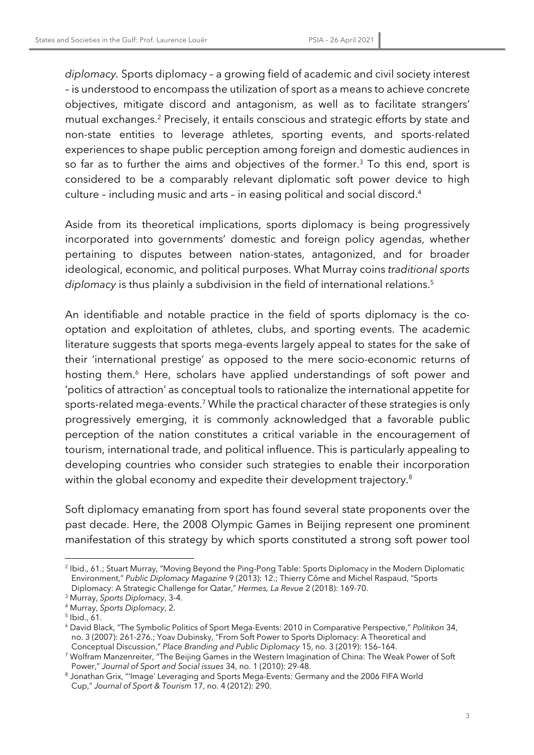*diplomacy.* Sports diplomacy – a growing field of academic and civil society interest – is understood to encompass the utilization of sport as a means to achieve concrete objectives, mitigate discord and antagonism, as well as to facilitate strangers' mutual exchanges.2 Precisely, it entails conscious and strategic efforts by state and non-state entities to leverage athletes, sporting events, and sports-related experiences to shape public perception among foreign and domestic audiences in so far as to further the aims and objectives of the former.<sup>3</sup> To this end, sport is considered to be a comparably relevant diplomatic soft power device to high culture – including music and arts – in easing political and social discord.4

Aside from its theoretical implications, sports diplomacy is being progressively incorporated into governments' domestic and foreign policy agendas, whether pertaining to disputes between nation-states, antagonized, and for broader ideological, economic, and political purposes. What Murray coins *traditional sports*  diplomacy is thus plainly a subdivision in the field of international relations.<sup>5</sup>

An identifiable and notable practice in the field of sports diplomacy is the cooptation and exploitation of athletes, clubs, and sporting events. The academic literature suggests that sports mega-events largely appeal to states for the sake of their 'international prestige' as opposed to the mere socio-economic returns of hosting them.<sup>6</sup> Here, scholars have applied understandings of soft power and 'politics of attraction' as conceptual tools to rationalize the international appetite for sports-related mega-events.<sup>7</sup> While the practical character of these strategies is only progressively emerging, it is commonly acknowledged that a favorable public perception of the nation constitutes a critical variable in the encouragement of tourism, international trade, and political influence. This is particularly appealing to developing countries who consider such strategies to enable their incorporation within the global economy and expedite their development trajectory. 8

Soft diplomacy emanating from sport has found several state proponents over the past decade. Here, the 2008 Olympic Games in Beijing represent one prominent manifestation of this strategy by which sports constituted a strong soft power tool

<sup>2</sup> Ibid., 61.; Stuart Murray, "Moving Beyond the Ping-Pong Table: Sports Diplomacy in the Modern Diplomatic Environment," *Public Diplomacy Magazine* 9 (2013): 12.; Thierry Côme and Michel Raspaud, "Sports Diplomacy: A Strategic Challenge for Qatar," *Hermes, La Revue* 2 (2018): 169-70.

<sup>3</sup> Murray, *Sports Diplomacy*, 3-4.

<sup>4</sup> Murray, *Sports Diplomacy*, 2.

 $5$  Ibid., 61.

<sup>6</sup> David Black, "The Symbolic Politics of Sport Mega-Events: 2010 in Comparative Perspective," *Politikon* 34, no. 3 (2007): 261-276.; Yoav Dubinsky, "From Soft Power to Sports Diplomacy: A Theoretical and Conceptual Discussion," *Place Branding and Public Diplomacy* 15, no. 3 (2019): 156–164.

<sup>7</sup> Wolfram Manzenreiter, "The Beijing Games in the Western Imagination of China: The Weak Power of Soft Power," *Journal of Sport and Social issues* 34, no. 1 (2010): 29-48.

<sup>8</sup> Jonathan Grix, "'Image' Leveraging and Sports Mega-Events: Germany and the 2006 FIFA World Cup," *Journal of Sport & Tourism* 17, no. 4 (2012): 290.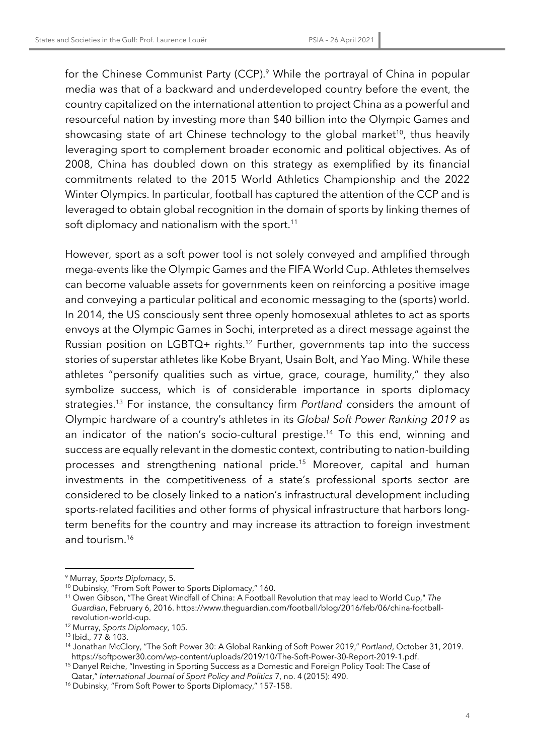for the Chinese Communist Party (CCP).<sup>9</sup> While the portrayal of China in popular media was that of a backward and underdeveloped country before the event, the country capitalized on the international attention to project China as a powerful and resourceful nation by investing more than \$40 billion into the Olympic Games and showcasing state of art Chinese technology to the global market<sup>10</sup>, thus heavily leveraging sport to complement broader economic and political objectives. As of 2008, China has doubled down on this strategy as exemplified by its financial commitments related to the 2015 World Athletics Championship and the 2022 Winter Olympics. In particular, football has captured the attention of the CCP and is leveraged to obtain global recognition in the domain of sports by linking themes of soft diplomacy and nationalism with the sport.<sup>11</sup>

However, sport as a soft power tool is not solely conveyed and amplified through mega-events like the Olympic Games and the FIFA World Cup. Athletes themselves can become valuable assets for governments keen on reinforcing a positive image and conveying a particular political and economic messaging to the (sports) world. In 2014, the US consciously sent three openly homosexual athletes to act as sports envoys at the Olympic Games in Sochi, interpreted as a direct message against the Russian position on LGBTQ+ rights.12 Further, governments tap into the success stories of superstar athletes like Kobe Bryant, Usain Bolt, and Yao Ming. While these athletes "personify qualities such as virtue, grace, courage, humility," they also symbolize success, which is of considerable importance in sports diplomacy strategies.13 For instance, the consultancy firm *Portland* considers the amount of Olympic hardware of a country's athletes in its *Global Soft Power Ranking 2019* as an indicator of the nation's socio-cultural prestige.<sup>14</sup> To this end, winning and success are equally relevant in the domestic context, contributing to nation-building processes and strengthening national pride.15 Moreover, capital and human investments in the competitiveness of a state's professional sports sector are considered to be closely linked to a nation's infrastructural development including sports-related facilities and other forms of physical infrastructure that harbors longterm benefits for the country and may increase its attraction to foreign investment and tourism.16

<sup>9</sup> Murray, *Sports Diplomacy*, 5.

<sup>10</sup> Dubinsky, "From Soft Power to Sports Diplomacy," 160.

<sup>11</sup> Owen Gibson, "The Great Windfall of China: A Football Revolution that may lead to World Cup," *The Guardian*, February 6, 2016. https://www.theguardian.com/football/blog/2016/feb/06/china-footballrevolution-world-cup.

<sup>12</sup> Murray, *Sports Diplomacy*, 105.

<sup>13</sup> Ibid., 77 & 103.

<sup>14</sup> Jonathan McClory, "The Soft Power 30: A Global Ranking of Soft Power 2019," *Portland*, October 31, 2019. https://softpower30.com/wp-content/uploads/2019/10/The-Soft-Power-30-Report-2019-1.pdf. 15 Danyel Reiche, "Investing in Sporting Success as a Domestic and Foreign Policy Tool: The Case of

Qatar," *International Journal of Sport Policy and Politics* 7, no. 4 (2015): 490.

<sup>&</sup>lt;sup>16</sup> Dubinsky, "From Soft Power to Sports Diplomacy," 157-158.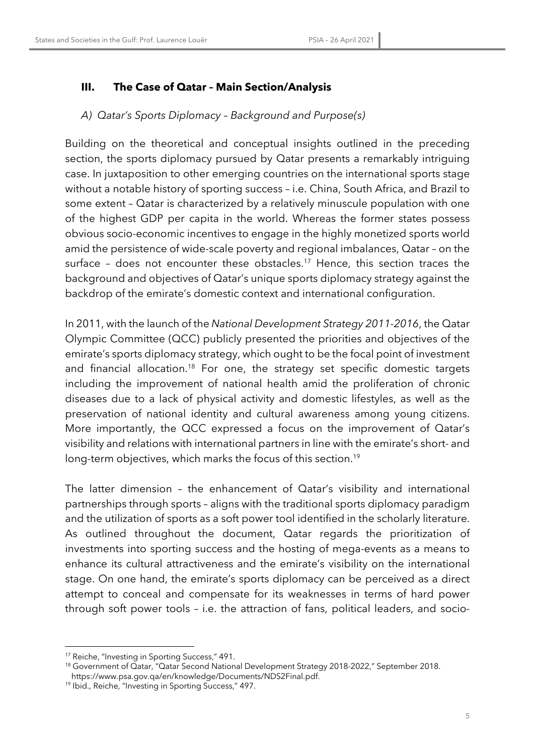# **III. The Case of Qatar – Main Section/Analysis**

#### *A) Qatar's Sports Diplomacy – Background and Purpose(s)*

Building on the theoretical and conceptual insights outlined in the preceding section, the sports diplomacy pursued by Qatar presents a remarkably intriguing case. In juxtaposition to other emerging countries on the international sports stage without a notable history of sporting success – i.e. China, South Africa, and Brazil to some extent – Qatar is characterized by a relatively minuscule population with one of the highest GDP per capita in the world. Whereas the former states possess obvious socio-economic incentives to engage in the highly monetized sports world amid the persistence of wide-scale poverty and regional imbalances, Qatar – on the surface - does not encounter these obstacles.<sup>17</sup> Hence, this section traces the background and objectives of Qatar's unique sports diplomacy strategy against the backdrop of the emirate's domestic context and international configuration.

In 2011, with the launch of the *National Development Strategy 2011-2016*, the Qatar Olympic Committee (QCC) publicly presented the priorities and objectives of the emirate's sports diplomacy strategy, which ought to be the focal point of investment and financial allocation.<sup>18</sup> For one, the strategy set specific domestic targets including the improvement of national health amid the proliferation of chronic diseases due to a lack of physical activity and domestic lifestyles, as well as the preservation of national identity and cultural awareness among young citizens. More importantly, the QCC expressed a focus on the improvement of Qatar's visibility and relations with international partners in line with the emirate's short- and long-term objectives, which marks the focus of this section.<sup>19</sup>

The latter dimension – the enhancement of Qatar's visibility and international partnerships through sports – aligns with the traditional sports diplomacy paradigm and the utilization of sports as a soft power tool identified in the scholarly literature. As outlined throughout the document, Qatar regards the prioritization of investments into sporting success and the hosting of mega-events as a means to enhance its cultural attractiveness and the emirate's visibility on the international stage. On one hand, the emirate's sports diplomacy can be perceived as a direct attempt to conceal and compensate for its weaknesses in terms of hard power through soft power tools – i.e. the attraction of fans, political leaders, and socio-

<sup>17</sup> Reiche, "Investing in Sporting Success," 491.

<sup>18</sup> Government of Qatar, "Qatar Second National Development Strategy 2018-2022," September 2018.

https://www.psa.gov.qa/en/knowledge/Documents/NDS2Final.pdf. 19 Ibid., Reiche, "Investing in Sporting Success," 497.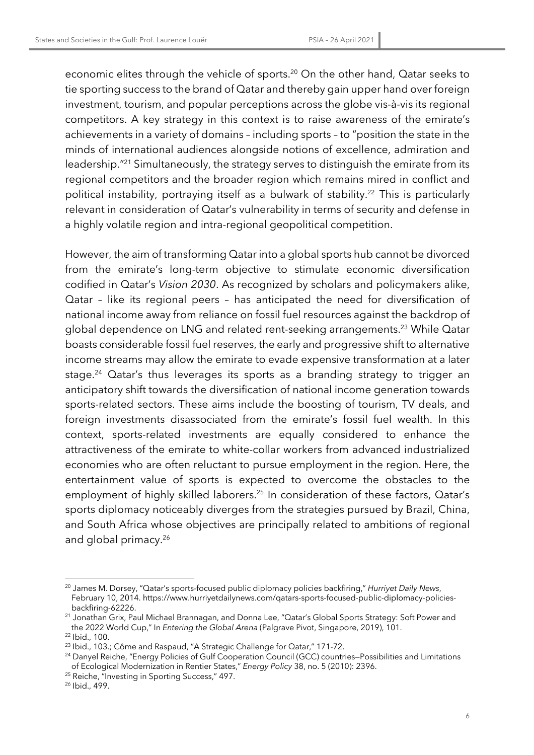economic elites through the vehicle of sports.<sup>20</sup> On the other hand, Qatar seeks to tie sporting success to the brand of Qatar and thereby gain upper hand over foreign investment, tourism, and popular perceptions across the globe vis-à-vis its regional competitors. A key strategy in this context is to raise awareness of the emirate's achievements in a variety of domains – including sports – to "position the state in the minds of international audiences alongside notions of excellence, admiration and leadership."21 Simultaneously, the strategy serves to distinguish the emirate from its regional competitors and the broader region which remains mired in conflict and political instability, portraying itself as a bulwark of stability.<sup>22</sup> This is particularly relevant in consideration of Qatar's vulnerability in terms of security and defense in a highly volatile region and intra-regional geopolitical competition.

However, the aim of transforming Qatar into a global sports hub cannot be divorced from the emirate's long-term objective to stimulate economic diversification codified in Qatar's *Vision 2030*. As recognized by scholars and policymakers alike, Qatar – like its regional peers – has anticipated the need for diversification of national income away from reliance on fossil fuel resources against the backdrop of global dependence on LNG and related rent-seeking arrangements.23 While Qatar boasts considerable fossil fuel reserves, the early and progressive shift to alternative income streams may allow the emirate to evade expensive transformation at a later stage.<sup>24</sup> Qatar's thus leverages its sports as a branding strategy to trigger an anticipatory shift towards the diversification of national income generation towards sports-related sectors. These aims include the boosting of tourism, TV deals, and foreign investments disassociated from the emirate's fossil fuel wealth. In this context, sports-related investments are equally considered to enhance the attractiveness of the emirate to white-collar workers from advanced industrialized economies who are often reluctant to pursue employment in the region. Here, the entertainment value of sports is expected to overcome the obstacles to the employment of highly skilled laborers.<sup>25</sup> In consideration of these factors, Qatar's sports diplomacy noticeably diverges from the strategies pursued by Brazil, China, and South Africa whose objectives are principally related to ambitions of regional and global primacy. 26

<sup>20</sup> James M. Dorsey, "Qatar's sports-focused public diplomacy policies backfiring," *Hurriyet Daily News*, February 10, 2014. https://www.hurriyetdailynews.com/qatars-sports-focused-public-diplomacy-policiesbackfiring-62226. 21 Jonathan Grix, Paul Michael Brannagan, and Donna Lee, "Qatar's Global Sports Strategy: Soft Power and

the 2022 World Cup," In *Entering the Global Arena* (Palgrave Pivot, Singapore, 2019), 101.

<sup>22</sup> Ibid., 100.

<sup>&</sup>lt;sup>23</sup> Ibid., 103.; Côme and Raspaud, "A Strategic Challenge for Qatar," 171-72.

<sup>&</sup>lt;sup>24</sup> Danyel Reiche, "Energy Policies of Gulf Cooperation Council (GCC) countries–Possibilities and Limitations of Ecological Modernization in Rentier States," *Energy Policy* 38, no. 5 (2010): 2396.

<sup>&</sup>lt;sup>25</sup> Reiche, "Investing in Sporting Success," 497.

<sup>26</sup> Ibid., 499.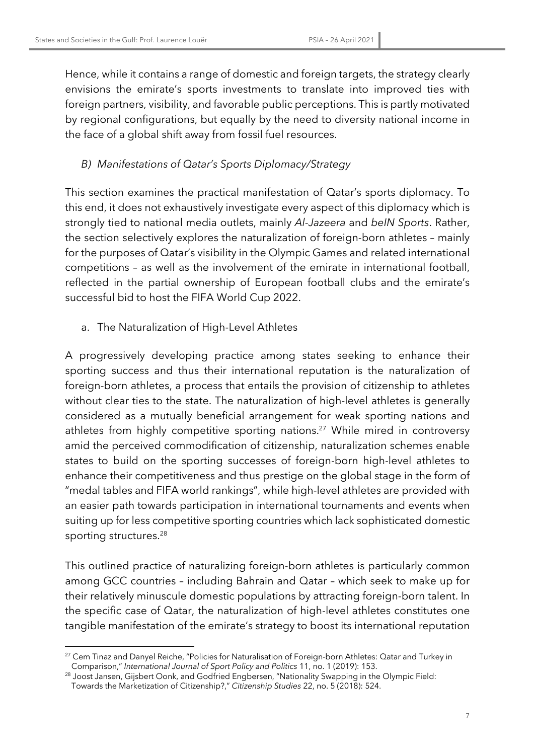Hence, while it contains a range of domestic and foreign targets, the strategy clearly envisions the emirate's sports investments to translate into improved ties with foreign partners, visibility, and favorable public perceptions. This is partly motivated by regional configurations, but equally by the need to diversity national income in the face of a global shift away from fossil fuel resources.

# *B) Manifestations of Qatar's Sports Diplomacy/Strategy*

This section examines the practical manifestation of Qatar's sports diplomacy. To this end, it does not exhaustively investigate every aspect of this diplomacy which is strongly tied to national media outlets, mainly *Al-Jazeera* and *beIN Sports*. Rather, the section selectively explores the naturalization of foreign-born athletes – mainly for the purposes of Qatar's visibility in the Olympic Games and related international competitions – as well as the involvement of the emirate in international football, reflected in the partial ownership of European football clubs and the emirate's successful bid to host the FIFA World Cup 2022.

a. The Naturalization of High-Level Athletes

A progressively developing practice among states seeking to enhance their sporting success and thus their international reputation is the naturalization of foreign-born athletes, a process that entails the provision of citizenship to athletes without clear ties to the state. The naturalization of high-level athletes is generally considered as a mutually beneficial arrangement for weak sporting nations and athletes from highly competitive sporting nations.<sup>27</sup> While mired in controversy amid the perceived commodification of citizenship, naturalization schemes enable states to build on the sporting successes of foreign-born high-level athletes to enhance their competitiveness and thus prestige on the global stage in the form of "medal tables and FIFA world rankings", while high-level athletes are provided with an easier path towards participation in international tournaments and events when suiting up for less competitive sporting countries which lack sophisticated domestic sporting structures.<sup>28</sup>

This outlined practice of naturalizing foreign-born athletes is particularly common among GCC countries – including Bahrain and Qatar – which seek to make up for their relatively minuscule domestic populations by attracting foreign-born talent. In the specific case of Qatar, the naturalization of high-level athletes constitutes one tangible manifestation of the emirate's strategy to boost its international reputation

7

<sup>&</sup>lt;sup>27</sup> Cem Tinaz and Danyel Reiche, "Policies for Naturalisation of Foreign-born Athletes: Qatar and Turkey in Comparison," *International Journal of Sport Policy and Politics* 11, no. 1 (2019): 153.

<sup>&</sup>lt;sup>28</sup> Joost Jansen, Gijsbert Oonk, and Godfried Engbersen, "Nationality Swapping in the Olympic Field:

Towards the Marketization of Citizenship?," *Citizenship Studies* 22, no. 5 (2018): 524.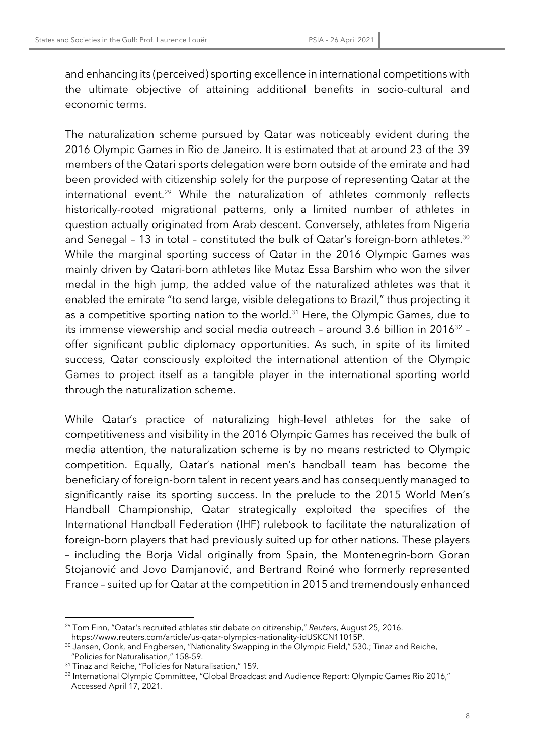and enhancing its (perceived) sporting excellence in international competitions with the ultimate objective of attaining additional benefits in socio-cultural and economic terms.

The naturalization scheme pursued by Qatar was noticeably evident during the 2016 Olympic Games in Rio de Janeiro. It is estimated that at around 23 of the 39 members of the Qatari sports delegation were born outside of the emirate and had been provided with citizenship solely for the purpose of representing Qatar at the international event.<sup>29</sup> While the naturalization of athletes commonly reflects historically-rooted migrational patterns, only a limited number of athletes in question actually originated from Arab descent. Conversely, athletes from Nigeria and Senegal - 13 in total - constituted the bulk of Qatar's foreign-born athletes.<sup>30</sup> While the marginal sporting success of Qatar in the 2016 Olympic Games was mainly driven by Qatari-born athletes like Mutaz Essa Barshim who won the silver medal in the high jump, the added value of the naturalized athletes was that it enabled the emirate "to send large, visible delegations to Brazil," thus projecting it as a competitive sporting nation to the world.<sup>31</sup> Here, the Olympic Games, due to its immense viewership and social media outreach - around 3.6 billion in 2016<sup>32</sup> offer significant public diplomacy opportunities. As such, in spite of its limited success, Qatar consciously exploited the international attention of the Olympic Games to project itself as a tangible player in the international sporting world through the naturalization scheme.

While Qatar's practice of naturalizing high-level athletes for the sake of competitiveness and visibility in the 2016 Olympic Games has received the bulk of media attention, the naturalization scheme is by no means restricted to Olympic competition. Equally, Qatar's national men's handball team has become the beneficiary of foreign-born talent in recent years and has consequently managed to significantly raise its sporting success. In the prelude to the 2015 World Men's Handball Championship, Qatar strategically exploited the specifies of the International Handball Federation (IHF) rulebook to facilitate the naturalization of foreign-born players that had previously suited up for other nations. These players – including the Borja Vidal originally from Spain, the Montenegrin-born Goran Stojanović and Jovo Damjanović, and Bertrand Roiné who formerly represented France – suited up for Qatar at the competition in 2015 and tremendously enhanced

<sup>29</sup> Tom Finn, "Qatar's recruited athletes stir debate on citizenship," *Reuters*, August 25, 2016.

<sup>&</sup>lt;sup>30</sup> Jansen, Oonk, and Engbersen, "Nationality Swapping in the Olympic Field," 530.; Tinaz and Reiche, "Policies for Naturalisation," 158-59.

<sup>&</sup>lt;sup>31</sup> Tinaz and Reiche, "Policies for Naturalisation," 159.

<sup>&</sup>lt;sup>32</sup> International Olympic Committee, "Global Broadcast and Audience Report: Olympic Games Rio 2016," Accessed April 17, 2021.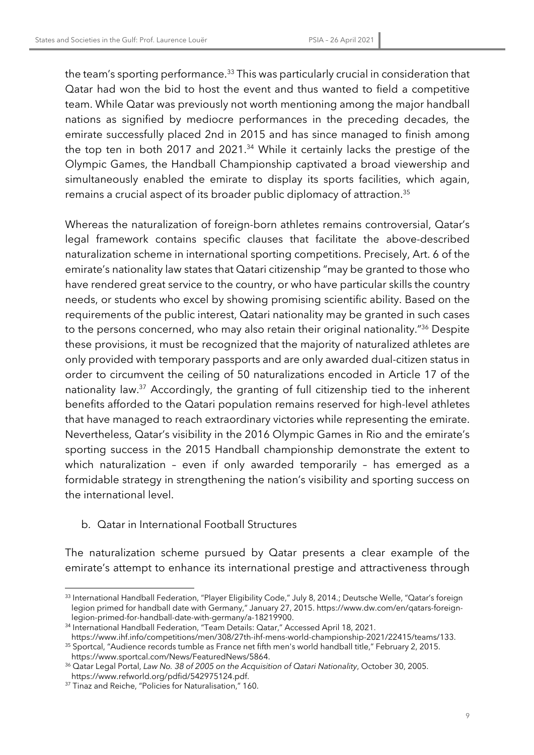the team's sporting performance.<sup>33</sup> This was particularly crucial in consideration that Qatar had won the bid to host the event and thus wanted to field a competitive team. While Qatar was previously not worth mentioning among the major handball nations as signified by mediocre performances in the preceding decades, the emirate successfully placed 2nd in 2015 and has since managed to finish among the top ten in both 2017 and 2021.<sup>34</sup> While it certainly lacks the prestige of the Olympic Games, the Handball Championship captivated a broad viewership and simultaneously enabled the emirate to display its sports facilities, which again, remains a crucial aspect of its broader public diplomacy of attraction.35

Whereas the naturalization of foreign-born athletes remains controversial, Qatar's legal framework contains specific clauses that facilitate the above-described naturalization scheme in international sporting competitions. Precisely, Art. 6 of the emirate's nationality law states that Qatari citizenship "may be granted to those who have rendered great service to the country, or who have particular skills the country needs, or students who excel by showing promising scientific ability. Based on the requirements of the public interest, Qatari nationality may be granted in such cases to the persons concerned, who may also retain their original nationality."36 Despite these provisions, it must be recognized that the majority of naturalized athletes are only provided with temporary passports and are only awarded dual-citizen status in order to circumvent the ceiling of 50 naturalizations encoded in Article 17 of the nationality law.37 Accordingly, the granting of full citizenship tied to the inherent benefits afforded to the Qatari population remains reserved for high-level athletes that have managed to reach extraordinary victories while representing the emirate. Nevertheless, Qatar's visibility in the 2016 Olympic Games in Rio and the emirate's sporting success in the 2015 Handball championship demonstrate the extent to which naturalization – even if only awarded temporarily – has emerged as a formidable strategy in strengthening the nation's visibility and sporting success on the international level.

#### b. Qatar in International Football Structures

The naturalization scheme pursued by Qatar presents a clear example of the emirate's attempt to enhance its international prestige and attractiveness through

 $^{\rm 33}$  International Handball Federation, "Player Eligibility Code," July 8, 2014.; Deutsche Welle, "Qatar's foreign legion primed for handball date with Germany," January 27, 2015. https://www.dw.com/en/qatars-foreignlegion-primed-for-handball-date-with-germany/a-18219900.<br><sup>34</sup> International Handball Federation, "Team Details: Qatar," Accessed April 18, 2021.<br>https://www.ihf.info/competitions/men/308/27th-ihf-mens-world-championship-20

<sup>&</sup>lt;sup>35</sup> Sportcal, "Audience records tumble as France net fifth men's world handball title," February 2, 2015.

https://www.sportcal.com/News/FeaturedNews/5864. 36 Qatar Legal Portal, *Law No. 38 of 2005 on the Acquisition of Qatari Nationality*, October 30, 2005.

https://www.refworld.org/pdfid/542975124.pdf. 37 Tinaz and Reiche, "Policies for Naturalisation," 160.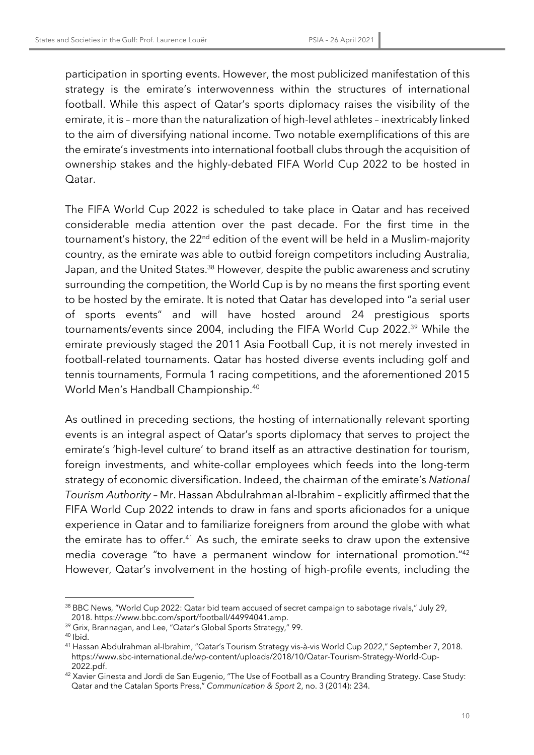participation in sporting events. However, the most publicized manifestation of this strategy is the emirate's interwovenness within the structures of international football. While this aspect of Qatar's sports diplomacy raises the visibility of the emirate, it is – more than the naturalization of high-level athletes – inextricably linked to the aim of diversifying national income. Two notable exemplifications of this are the emirate's investments into international football clubs through the acquisition of ownership stakes and the highly-debated FIFA World Cup 2022 to be hosted in Qatar.

The FIFA World Cup 2022 is scheduled to take place in Qatar and has received considerable media attention over the past decade. For the first time in the tournament's history, the 22<sup>nd</sup> edition of the event will be held in a Muslim-majority country, as the emirate was able to outbid foreign competitors including Australia, Japan, and the United States.<sup>38</sup> However, despite the public awareness and scrutiny surrounding the competition, the World Cup is by no means the first sporting event to be hosted by the emirate. It is noted that Qatar has developed into "a serial user of sports events" and will have hosted around 24 prestigious sports tournaments/events since 2004, including the FIFA World Cup 2022.39 While the emirate previously staged the 2011 Asia Football Cup, it is not merely invested in football-related tournaments. Qatar has hosted diverse events including golf and tennis tournaments, Formula 1 racing competitions, and the aforementioned 2015 World Men's Handball Championship.40

As outlined in preceding sections, the hosting of internationally relevant sporting events is an integral aspect of Qatar's sports diplomacy that serves to project the emirate's 'high-level culture' to brand itself as an attractive destination for tourism, foreign investments, and white-collar employees which feeds into the long-term strategy of economic diversification. Indeed, the chairman of the emirate's *National Tourism Authority* – Mr. Hassan Abdulrahman al-Ibrahim – explicitly affirmed that the FIFA World Cup 2022 intends to draw in fans and sports aficionados for a unique experience in Qatar and to familiarize foreigners from around the globe with what the emirate has to offer.<sup>41</sup> As such, the emirate seeks to draw upon the extensive media coverage "to have a permanent window for international promotion."42 However, Qatar's involvement in the hosting of high-profile events, including the

<sup>38</sup> BBC News, "World Cup 2022: Qatar bid team accused of secret campaign to sabotage rivals," July 29, 2018. https://www.bbc.com/sport/football/44994041.amp. 39 Grix, Brannagan, and Lee, "Qatar's Global Sports Strategy," 99.

 $40$  Ibid.

<sup>41</sup> Hassan Abdulrahman al-Ibrahim, "Qatar's Tourism Strategy vis-à-vis World Cup 2022," September 7, 2018. https://www.sbc-international.de/wp-content/uploads/2018/10/Qatar-Tourism-Strategy-World-Cup-

<sup>2022.</sup>pdf.<br><sup>42</sup> Xavier Ginesta and Jordi de San Eugenio, "The Use of Football as a Country Branding Strategy. Case Study: Qatar and the Catalan Sports Press," *Communication & Sport* 2, no. 3 (2014): 234.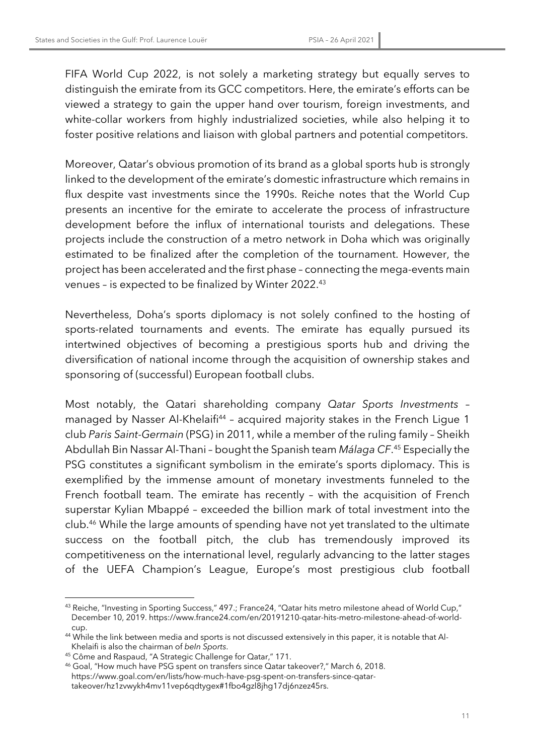FIFA World Cup 2022, is not solely a marketing strategy but equally serves to distinguish the emirate from its GCC competitors. Here, the emirate's efforts can be viewed a strategy to gain the upper hand over tourism, foreign investments, and white-collar workers from highly industrialized societies, while also helping it to foster positive relations and liaison with global partners and potential competitors.

Moreover, Qatar's obvious promotion of its brand as a global sports hub is strongly linked to the development of the emirate's domestic infrastructure which remains in flux despite vast investments since the 1990s. Reiche notes that the World Cup presents an incentive for the emirate to accelerate the process of infrastructure development before the influx of international tourists and delegations. These projects include the construction of a metro network in Doha which was originally estimated to be finalized after the completion of the tournament. However, the project has been accelerated and the first phase – connecting the mega-events main venues – is expected to be finalized by Winter 2022.43

Nevertheless, Doha's sports diplomacy is not solely confined to the hosting of sports-related tournaments and events. The emirate has equally pursued its intertwined objectives of becoming a prestigious sports hub and driving the diversification of national income through the acquisition of ownership stakes and sponsoring of (successful) European football clubs.

Most notably, the Qatari shareholding company *Qatar Sports Investments* – managed by Nasser Al-Khelaifi<sup>44</sup> - acquired majority stakes in the French Ligue 1 club *Paris Saint-Germain* (PSG) in 2011, while a member of the ruling family – Sheikh Abdullah Bin Nassar Al-Thani – bought the Spanish team *Málaga CF*. <sup>45</sup> Especially the PSG constitutes a significant symbolism in the emirate's sports diplomacy. This is exemplified by the immense amount of monetary investments funneled to the French football team. The emirate has recently – with the acquisition of French superstar Kylian Mbappé – exceeded the billion mark of total investment into the club.46 While the large amounts of spending have not yet translated to the ultimate success on the football pitch, the club has tremendously improved its competitiveness on the international level, regularly advancing to the latter stages of the UEFA Champion's League, Europe's most prestigious club football

<sup>43</sup> Reiche, "Investing in Sporting Success," 497.; France24, "Qatar hits metro milestone ahead of World Cup," December 10, 2019. https://www.france24.com/en/20191210-qatar-hits-metro-milestone-ahead-of-worldcup.

<sup>44</sup> While the link between media and sports is not discussed extensively in this paper, it is notable that Al-Khelaifi is also the chairman of *beIn Sports*.

<sup>45</sup> Côme and Raspaud, "A Strategic Challenge for Qatar," 171.

<sup>46</sup> Goal, "How much have PSG spent on transfers since Qatar takeover?," March 6, 2018. https://www.goal.com/en/lists/how-much-have-psg-spent-on-transfers-since-qatartakeover/hz1zvwykh4mv11vep6qdtygex#1fbo4gzl8jhg17dj6nzez45rs.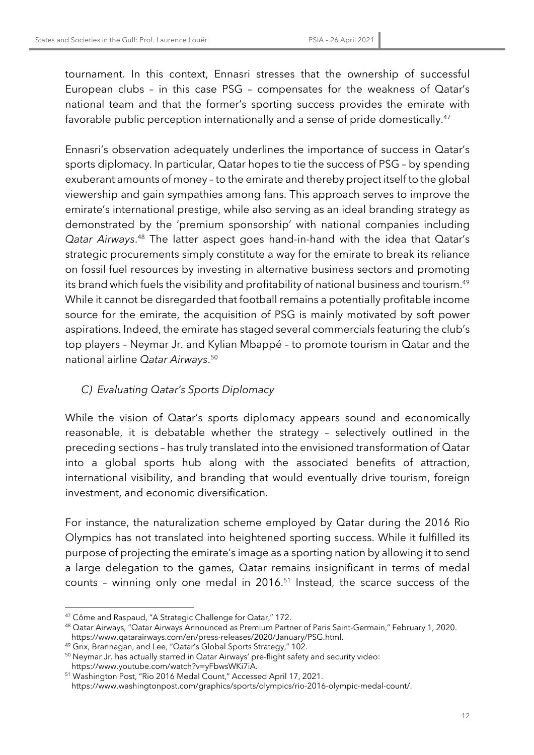tournament. In this context, Ennasri stresses that the ownership of successful European clubs – in this case PSG – compensates for the weakness of Qatar's national team and that the former's sporting success provides the emirate with favorable public perception internationally and a sense of pride domestically.<sup>47</sup>

Ennasri's observation adequately underlines the importance of success in Qatar's sports diplomacy. In particular, Qatar hopes to tie the success of PSG – by spending exuberant amounts of money – to the emirate and thereby project itself to the global viewership and gain sympathies among fans. This approach serves to improve the emirate's international prestige, while also serving as an ideal branding strategy as demonstrated by the 'premium sponsorship' with national companies including *Qatar Airways*. <sup>48</sup> The latter aspect goes hand-in-hand with the idea that Qatar's strategic procurements simply constitute a way for the emirate to break its reliance on fossil fuel resources by investing in alternative business sectors and promoting its brand which fuels the visibility and profitability of national business and tourism.<sup>49</sup> While it cannot be disregarded that football remains a potentially profitable income source for the emirate, the acquisition of PSG is mainly motivated by soft power aspirations. Indeed, the emirate has staged several commercials featuring the club's top players – Neymar Jr. and Kylian Mbappé – to promote tourism in Qatar and the national airline *Qatar Airways*. 50

#### *C) Evaluating Qatar's Sports Diplomacy*

While the vision of Qatar's sports diplomacy appears sound and economically reasonable, it is debatable whether the strategy – selectively outlined in the preceding sections – has truly translated into the envisioned transformation of Qatar into a global sports hub along with the associated benefits of attraction, international visibility, and branding that would eventually drive tourism, foreign investment, and economic diversification.

For instance, the naturalization scheme employed by Qatar during the 2016 Rio Olympics has not translated into heightened sporting success. While it fulfilled its purpose of projecting the emirate's image as a sporting nation by allowing it to send a large delegation to the games, Qatar remains insignificant in terms of medal counts – winning only one medal in 2016.51 Instead, the scarce success of the

<sup>47</sup> Côme and Raspaud, "A Strategic Challenge for Qatar," 172.

<sup>48</sup> Qatar Airways, "Qatar Airways Announced as Premium Partner of Paris Saint-Germain," February 1, 2020.

<sup>&</sup>lt;sup>49</sup> Grix, Brannagan, and Lee, "Qatar's Global Sports Strategy," 102.

<sup>&</sup>lt;sup>50</sup> Neymar Jr. has actually starred in Qatar Airways' pre-flight safety and security video:

https://www.youtube.com/watch?v=yFbwsWKi7iA. 51 Washington Post, "Rio 2016 Medal Count," Accessed April 17, 2021.

https://www.washingtonpost.com/graphics/sports/olympics/rio-2016-olympic-medal-count/.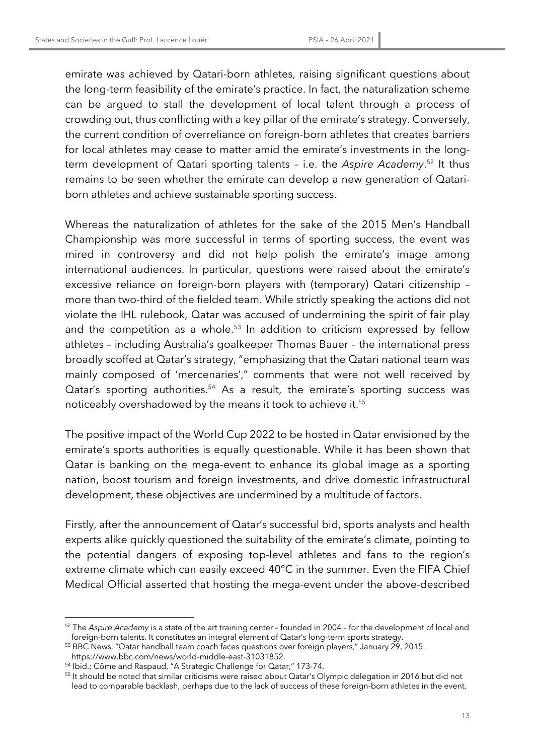emirate was achieved by Qatari-born athletes, raising significant questions about the long-term feasibility of the emirate's practice. In fact, the naturalization scheme can be argued to stall the development of local talent through a process of crowding out, thus conflicting with a key pillar of the emirate's strategy. Conversely, the current condition of overreliance on foreign-born athletes that creates barriers for local athletes may cease to matter amid the emirate's investments in the longterm development of Qatari sporting talents – i.e. the *Aspire Academy*. <sup>52</sup> It thus remains to be seen whether the emirate can develop a new generation of Qatariborn athletes and achieve sustainable sporting success.

Whereas the naturalization of athletes for the sake of the 2015 Men's Handball Championship was more successful in terms of sporting success, the event was mired in controversy and did not help polish the emirate's image among international audiences. In particular, questions were raised about the emirate's excessive reliance on foreign-born players with (temporary) Qatari citizenship – more than two-third of the fielded team. While strictly speaking the actions did not violate the IHL rulebook, Qatar was accused of undermining the spirit of fair play and the competition as a whole. $53$  In addition to criticism expressed by fellow athletes – including Australia's goalkeeper Thomas Bauer – the international press broadly scoffed at Qatar's strategy, "emphasizing that the Qatari national team was mainly composed of 'mercenaries'," comments that were not well received by Qatar's sporting authorities.<sup>54</sup> As a result, the emirate's sporting success was noticeably overshadowed by the means it took to achieve it.55

The positive impact of the World Cup 2022 to be hosted in Qatar envisioned by the emirate's sports authorities is equally questionable. While it has been shown that Qatar is banking on the mega-event to enhance its global image as a sporting nation, boost tourism and foreign investments, and drive domestic infrastructural development, these objectives are undermined by a multitude of factors.

Firstly, after the announcement of Qatar's successful bid, sports analysts and health experts alike quickly questioned the suitability of the emirate's climate, pointing to the potential dangers of exposing top-level athletes and fans to the region's extreme climate which can easily exceed 40°C in the summer. Even the FIFA Chief Medical Official asserted that hosting the mega-event under the above-described

<sup>52</sup> The *Aspire Academy* is a state of the art training center – founded in 2004 – for the development of local and foreign-born talents. It constitutes an integral element of Qatar's long-term sports strategy.

<sup>53</sup> BBC News, "Qatar handball team coach faces questions over foreign players," January 29, 2015.

https://www.bbc.com/news/world-middle-east-31031852. 54 Ibid.; Côme and Raspaud, "A Strategic Challenge for Qatar," 173-74.

<sup>55</sup> It should be noted that similar criticisms were raised about Qatar's Olympic delegation in 2016 but did not lead to comparable backlash, perhaps due to the lack of success of these foreign-born athletes in the event.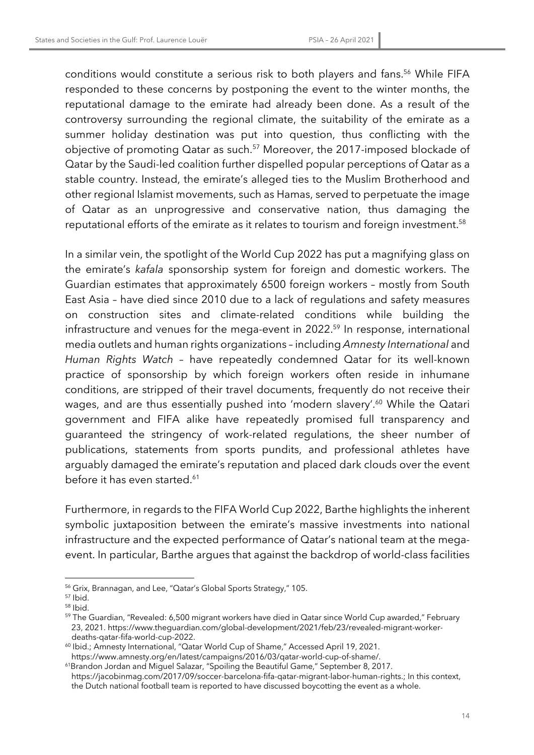conditions would constitute a serious risk to both players and fans. <sup>56</sup> While FIFA responded to these concerns by postponing the event to the winter months, the reputational damage to the emirate had already been done. As a result of the controversy surrounding the regional climate, the suitability of the emirate as a summer holiday destination was put into question, thus conflicting with the objective of promoting Qatar as such.57 Moreover, the 2017-imposed blockade of Qatar by the Saudi-led coalition further dispelled popular perceptions of Qatar as a stable country. Instead, the emirate's alleged ties to the Muslim Brotherhood and other regional Islamist movements, such as Hamas, served to perpetuate the image of Qatar as an unprogressive and conservative nation, thus damaging the reputational efforts of the emirate as it relates to tourism and foreign investment. 58

In a similar vein, the spotlight of the World Cup 2022 has put a magnifying glass on the emirate's *kafala* sponsorship system for foreign and domestic workers. The Guardian estimates that approximately 6500 foreign workers – mostly from South East Asia – have died since 2010 due to a lack of regulations and safety measures on construction sites and climate-related conditions while building the infrastructure and venues for the mega-event in 2022.<sup>59</sup> In response, international media outlets and human rights organizations – including *Amnesty International* and *Human Rights Watch* – have repeatedly condemned Qatar for its well-known practice of sponsorship by which foreign workers often reside in inhumane conditions, are stripped of their travel documents, frequently do not receive their wages, and are thus essentially pushed into 'modern slavery'.<sup>60</sup> While the Qatari government and FIFA alike have repeatedly promised full transparency and guaranteed the stringency of work-related regulations, the sheer number of publications, statements from sports pundits, and professional athletes have arguably damaged the emirate's reputation and placed dark clouds over the event before it has even started.<sup>61</sup>

Furthermore, in regards to the FIFA World Cup 2022, Barthe highlights the inherent symbolic juxtaposition between the emirate's massive investments into national infrastructure and the expected performance of Qatar's national team at the megaevent. In particular, Barthe argues that against the backdrop of world-class facilities

<sup>56</sup> Grix, Brannagan, and Lee, "Qatar's Global Sports Strategy," 105.

<sup>57</sup> Ibid.

<sup>58</sup> Ibid.

<sup>&</sup>lt;sup>59</sup> The Guardian, "Revealed: 6,500 migrant workers have died in Qatar since World Cup awarded," February 23, 2021. https://www.theguardian.com/global-development/2021/feb/23/revealed-migrant-worker-

deaths-qatar-fifa-world-cup-2022.<br><sup>60</sup> Ibid.; Amnesty International, "Qatar World Cup of Shame," Accessed April 19, 2021. https://www.amnesty.org/en/latest/campaigns/2016/03/qatar-world-cup-of-shame/. 61Brandon Jordan and Miguel Salazar, "Spoiling the Beautiful Game," September 8, 2017.

https://jacobinmag.com/2017/09/soccer-barcelona-fifa-qatar-migrant-labor-human-rights.; In this context, the Dutch national football team is reported to have discussed boycotting the event as a whole.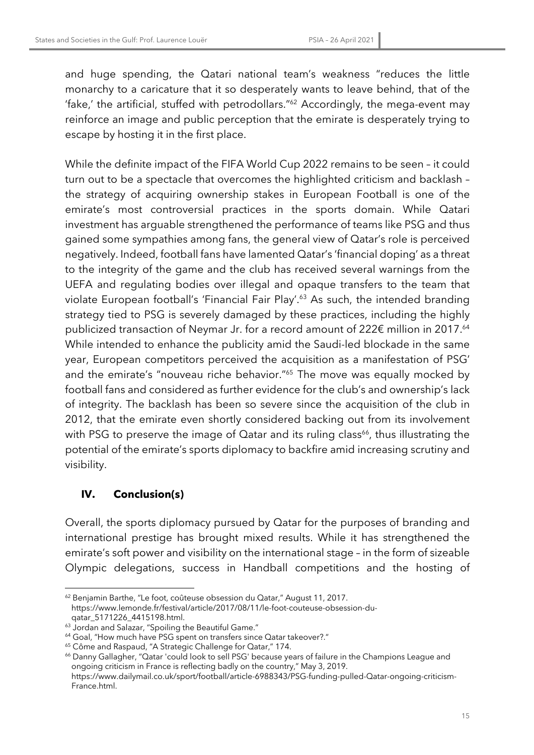and huge spending, the Qatari national team's weakness "reduces the little monarchy to a caricature that it so desperately wants to leave behind, that of the 'fake,' the artificial, stuffed with petrodollars."62 Accordingly, the mega-event may reinforce an image and public perception that the emirate is desperately trying to escape by hosting it in the first place.

While the definite impact of the FIFA World Cup 2022 remains to be seen – it could turn out to be a spectacle that overcomes the highlighted criticism and backlash – the strategy of acquiring ownership stakes in European Football is one of the emirate's most controversial practices in the sports domain. While Qatari investment has arguable strengthened the performance of teams like PSG and thus gained some sympathies among fans, the general view of Qatar's role is perceived negatively. Indeed, football fans have lamented Qatar's 'financial doping' as a threat to the integrity of the game and the club has received several warnings from the UEFA and regulating bodies over illegal and opaque transfers to the team that violate European football's 'Financial Fair Play'.63 As such, the intended branding strategy tied to PSG is severely damaged by these practices, including the highly publicized transaction of Neymar Jr. for a record amount of 222€ million in 2017.<sup>64</sup> While intended to enhance the publicity amid the Saudi-led blockade in the same year, European competitors perceived the acquisition as a manifestation of PSG' and the emirate's "nouveau riche behavior."65 The move was equally mocked by football fans and considered as further evidence for the club's and ownership's lack of integrity. The backlash has been so severe since the acquisition of the club in 2012, that the emirate even shortly considered backing out from its involvement with PSG to preserve the image of Qatar and its ruling class<sup>66</sup>, thus illustrating the potential of the emirate's sports diplomacy to backfire amid increasing scrutiny and visibility.

## **IV. Conclusion(s)**

Overall, the sports diplomacy pursued by Qatar for the purposes of branding and international prestige has brought mixed results. While it has strengthened the emirate's soft power and visibility on the international stage – in the form of sizeable Olympic delegations, success in Handball competitions and the hosting of

<sup>66</sup> Danny Gallagher, "Qatar 'could look to sell PSG' because years of failure in the Champions League and ongoing criticism in France is reflecting badly on the country," May 3, 2019. https://www.dailymail.co.uk/sport/football/article-6988343/PSG-funding-pulled-Qatar-ongoing-criticism-

<sup>62</sup> Benjamin Barthe, "Le foot, coûteuse obsession du Qatar," August 11, 2017. https://www.lemonde.fr/festival/article/2017/08/11/le-foot-couteuse-obsession-duqatar\_5171226\_4415198.html.

<sup>&</sup>lt;sup>63</sup> Jordan and Salazar, "Spoiling the Beautiful Game."

<sup>64</sup> Goal, "How much have PSG spent on transfers since Qatar takeover?."

<sup>65</sup> Côme and Raspaud, "A Strategic Challenge for Qatar," 174.

France.html.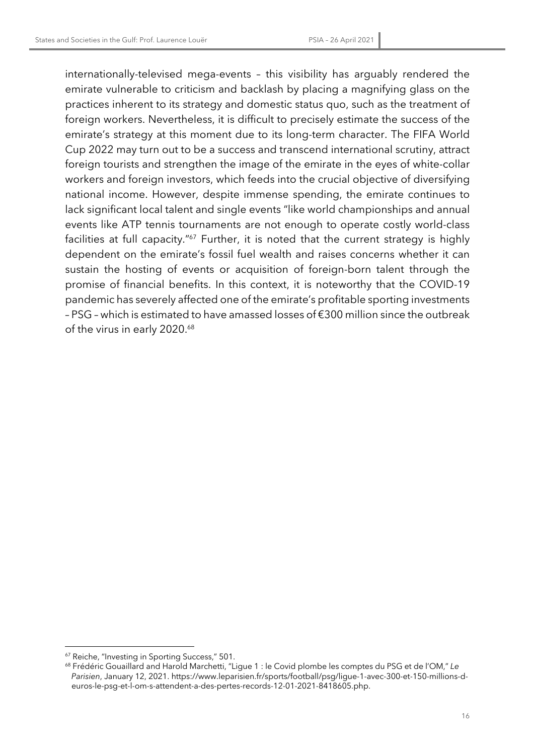internationally-televised mega-events – this visibility has arguably rendered the emirate vulnerable to criticism and backlash by placing a magnifying glass on the practices inherent to its strategy and domestic status quo, such as the treatment of foreign workers. Nevertheless, it is difficult to precisely estimate the success of the emirate's strategy at this moment due to its long-term character. The FIFA World Cup 2022 may turn out to be a success and transcend international scrutiny, attract foreign tourists and strengthen the image of the emirate in the eyes of white-collar workers and foreign investors, which feeds into the crucial objective of diversifying national income. However, despite immense spending, the emirate continues to lack significant local talent and single events "like world championships and annual events like ATP tennis tournaments are not enough to operate costly world-class facilities at full capacity."<sup>67</sup> Further, it is noted that the current strategy is highly dependent on the emirate's fossil fuel wealth and raises concerns whether it can sustain the hosting of events or acquisition of foreign-born talent through the promise of financial benefits. In this context, it is noteworthy that the COVID-19 pandemic has severely affected one of the emirate's profitable sporting investments – PSG – which is estimated to have amassed losses of €300 million since the outbreak of the virus in early 2020.<sup>68</sup>

<sup>67</sup> Reiche, "Investing in Sporting Success," 501.

<sup>68</sup> Frédéric Gouaillard and Harold Marchetti, "Ligue 1 : le Covid plombe les comptes du PSG et de l'OM," *Le Parisien*, January 12, 2021. https://www.leparisien.fr/sports/football/psg/ligue-1-avec-300-et-150-millions-deuros-le-psg-et-l-om-s-attendent-a-des-pertes-records-12-01-2021-8418605.php.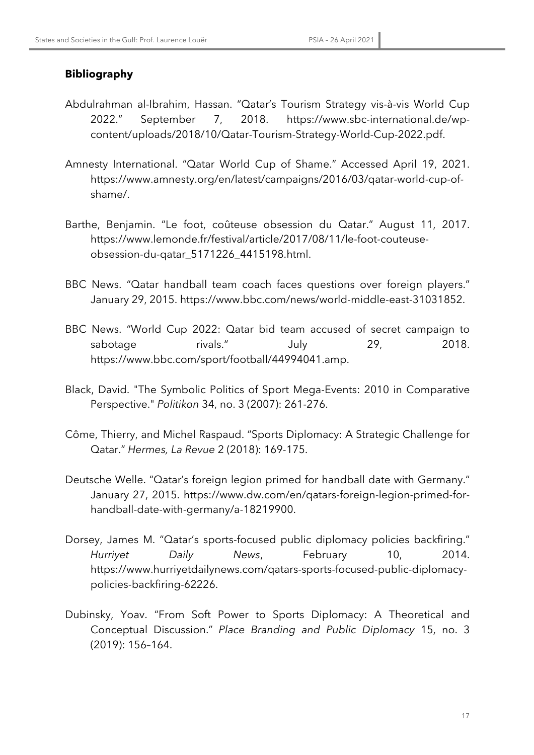### **Bibliography**

- Abdulrahman al-Ibrahim, Hassan. "Qatar's Tourism Strategy vis-à-vis World Cup 2022." September 7, 2018. https://www.sbc-international.de/wpcontent/uploads/2018/10/Qatar-Tourism-Strategy-World-Cup-2022.pdf.
- Amnesty International. "Qatar World Cup of Shame." Accessed April 19, 2021. https://www.amnesty.org/en/latest/campaigns/2016/03/qatar-world-cup-ofshame/.
- Barthe, Benjamin. "Le foot, coûteuse obsession du Qatar." August 11, 2017. https://www.lemonde.fr/festival/article/2017/08/11/le-foot-couteuseobsession-du-qatar\_5171226\_4415198.html.
- BBC News. "Qatar handball team coach faces questions over foreign players." January 29, 2015. https://www.bbc.com/news/world-middle-east-31031852.
- BBC News. "World Cup 2022: Qatar bid team accused of secret campaign to sabotage rivals." July 29, 2018. https://www.bbc.com/sport/football/44994041.amp.
- Black, David. "The Symbolic Politics of Sport Mega-Events: 2010 in Comparative Perspective." *Politikon* 34, no. 3 (2007): 261-276.
- Côme, Thierry, and Michel Raspaud. "Sports Diplomacy: A Strategic Challenge for Qatar." *Hermes, La Revue* 2 (2018): 169-175.
- Deutsche Welle. "Qatar's foreign legion primed for handball date with Germany." January 27, 2015. https://www.dw.com/en/qatars-foreign-legion-primed-forhandball-date-with-germany/a-18219900.
- Dorsey, James M. "Qatar's sports-focused public diplomacy policies backfiring." *Hurriyet Daily News*, February 10, 2014. https://www.hurriyetdailynews.com/qatars-sports-focused-public-diplomacypolicies-backfiring-62226.
- Dubinsky, Yoav. "From Soft Power to Sports Diplomacy: A Theoretical and Conceptual Discussion." *Place Branding and Public Diplomacy* 15, no. 3 (2019): 156–164.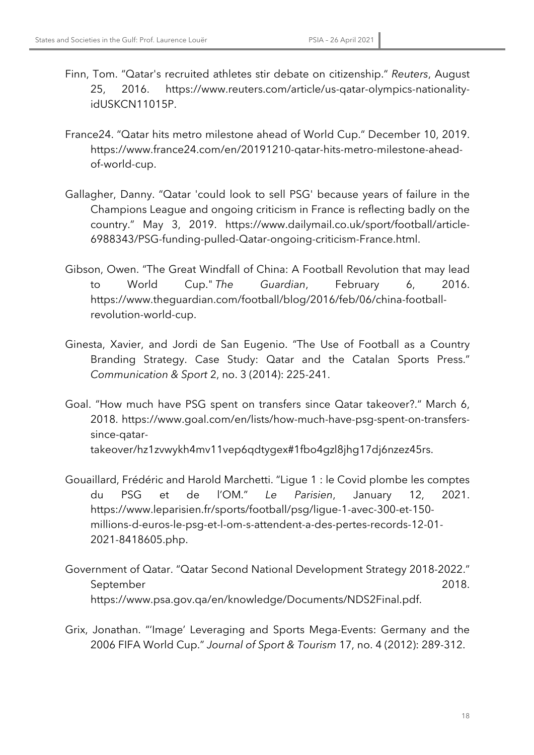- Finn, Tom. "Qatar's recruited athletes stir debate on citizenship." *Reuters*, August 25, 2016. https://www.reuters.com/article/us-qatar-olympics-nationalityidUSKCN11015P.
- France24. "Qatar hits metro milestone ahead of World Cup." December 10, 2019. https://www.france24.com/en/20191210-qatar-hits-metro-milestone-aheadof-world-cup.
- Gallagher, Danny. "Qatar 'could look to sell PSG' because years of failure in the Champions League and ongoing criticism in France is reflecting badly on the country." May 3, 2019. https://www.dailymail.co.uk/sport/football/article-6988343/PSG-funding-pulled-Qatar-ongoing-criticism-France.html.
- Gibson, Owen. "The Great Windfall of China: A Football Revolution that may lead to World Cup." *The Guardian*, February 6, 2016. https://www.theguardian.com/football/blog/2016/feb/06/china-footballrevolution-world-cup.
- Ginesta, Xavier, and Jordi de San Eugenio. "The Use of Football as a Country Branding Strategy. Case Study: Qatar and the Catalan Sports Press." *Communication & Sport* 2, no. 3 (2014): 225-241.
- Goal. "How much have PSG spent on transfers since Qatar takeover?." March 6, 2018. https://www.goal.com/en/lists/how-much-have-psg-spent-on-transferssince-qatartakeover/hz1zvwykh4mv11vep6qdtygex#1fbo4gzl8jhg17dj6nzez45rs.
- Gouaillard, Frédéric and Harold Marchetti. "Ligue 1 : le Covid plombe les comptes du PSG et de l'OM." *Le Parisien*, January 12, 2021. https://www.leparisien.fr/sports/football/psg/ligue-1-avec-300-et-150 millions-d-euros-le-psg-et-l-om-s-attendent-a-des-pertes-records-12-01- 2021-8418605.php.
- Government of Qatar. "Qatar Second National Development Strategy 2018-2022." September 2018. https://www.psa.gov.qa/en/knowledge/Documents/NDS2Final.pdf.
- Grix, Jonathan. "'Image' Leveraging and Sports Mega-Events: Germany and the 2006 FIFA World Cup." *Journal of Sport & Tourism* 17, no. 4 (2012): 289-312.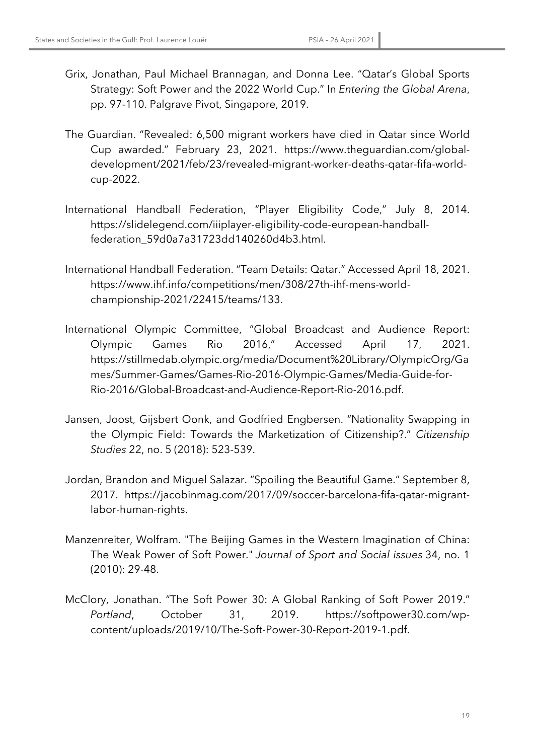- Grix, Jonathan, Paul Michael Brannagan, and Donna Lee. "Qatar's Global Sports Strategy: Soft Power and the 2022 World Cup." In *Entering the Global Arena*, pp. 97-110. Palgrave Pivot, Singapore, 2019.
- The Guardian. "Revealed: 6,500 migrant workers have died in Qatar since World Cup awarded." February 23, 2021. https://www.theguardian.com/globaldevelopment/2021/feb/23/revealed-migrant-worker-deaths-qatar-fifa-worldcup-2022.
- International Handball Federation, "Player Eligibility Code," July 8, 2014. https://slidelegend.com/iiiplayer-eligibility-code-european-handballfederation\_59d0a7a31723dd140260d4b3.html.
- International Handball Federation. "Team Details: Qatar." Accessed April 18, 2021. https://www.ihf.info/competitions/men/308/27th-ihf-mens-worldchampionship-2021/22415/teams/133.
- International Olympic Committee, "Global Broadcast and Audience Report: Olympic Games Rio 2016," Accessed April 17, 2021. https://stillmedab.olympic.org/media/Document%20Library/OlympicOrg/Ga mes/Summer-Games/Games-Rio-2016-Olympic-Games/Media-Guide-for-Rio-2016/Global-Broadcast-and-Audience-Report-Rio-2016.pdf.
- Jansen, Joost, Gijsbert Oonk, and Godfried Engbersen. "Nationality Swapping in the Olympic Field: Towards the Marketization of Citizenship?." *Citizenship Studies* 22, no. 5 (2018): 523-539.
- Jordan, Brandon and Miguel Salazar. "Spoiling the Beautiful Game." September 8, 2017. https://jacobinmag.com/2017/09/soccer-barcelona-fifa-qatar-migrantlabor-human-rights.
- Manzenreiter, Wolfram. "The Beijing Games in the Western Imagination of China: The Weak Power of Soft Power." *Journal of Sport and Social issues* 34, no. 1 (2010): 29-48.
- McClory, Jonathan. "The Soft Power 30: A Global Ranking of Soft Power 2019." *Portland*, October 31, 2019. https://softpower30.com/wpcontent/uploads/2019/10/The-Soft-Power-30-Report-2019-1.pdf.